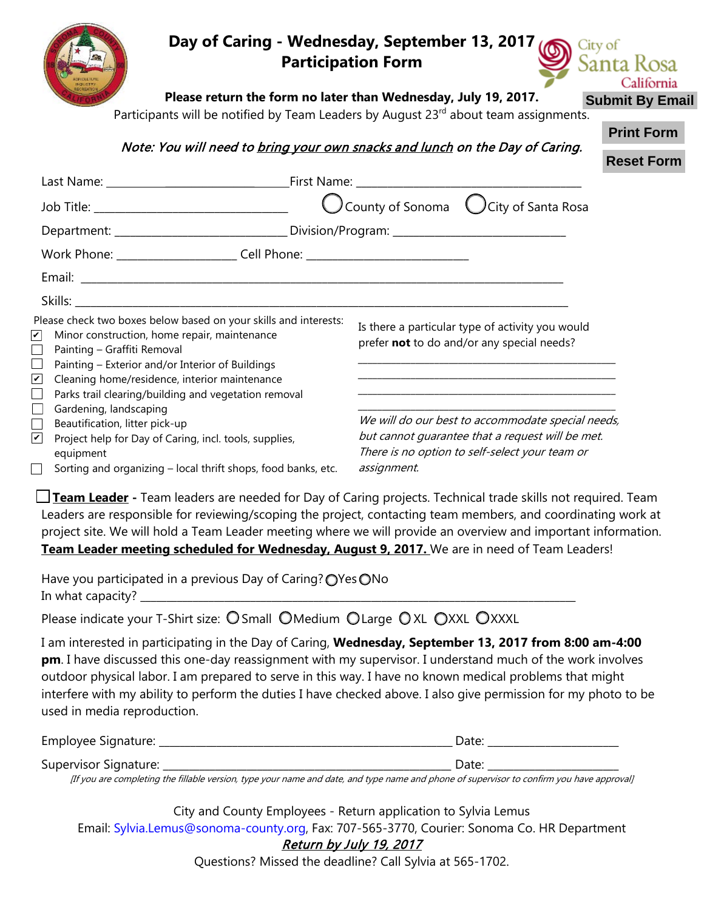|                                                                                                                                                                                                     |                                                                                                       | Day of Caring - Wednesday, September 13, 2017<br>City of<br><b>Participation Form</b><br>Santa Rosa<br>California                                                                                                             |
|-----------------------------------------------------------------------------------------------------------------------------------------------------------------------------------------------------|-------------------------------------------------------------------------------------------------------|-------------------------------------------------------------------------------------------------------------------------------------------------------------------------------------------------------------------------------|
|                                                                                                                                                                                                     |                                                                                                       | Please return the form no later than Wednesday, July 19, 2017.<br><b>Submit By Email</b>                                                                                                                                      |
|                                                                                                                                                                                                     |                                                                                                       | Participants will be notified by Team Leaders by August 23 <sup>rd</sup> about team assignments.<br><b>Print Form</b><br>Note: You will need to bring your own snacks and lunch on the Day of Caring.<br><b>Reset Form</b>    |
|                                                                                                                                                                                                     |                                                                                                       |                                                                                                                                                                                                                               |
|                                                                                                                                                                                                     | Job Title: __________________________________                                                         |                                                                                                                                                                                                                               |
|                                                                                                                                                                                                     |                                                                                                       |                                                                                                                                                                                                                               |
|                                                                                                                                                                                                     | Work Phone: ____________________________Cell Phone: ____________________________                      |                                                                                                                                                                                                                               |
|                                                                                                                                                                                                     |                                                                                                       |                                                                                                                                                                                                                               |
|                                                                                                                                                                                                     |                                                                                                       |                                                                                                                                                                                                                               |
| Please check two boxes below based on your skills and interests:<br>Minor construction, home repair, maintenance<br>Painting - Graffiti Removal<br>Painting - Exterior and/or Interior of Buildings |                                                                                                       | Is there a particular type of activity you would<br>prefer not to do and/or any special needs?                                                                                                                                |
| V                                                                                                                                                                                                   | Cleaning home/residence, interior maintenance<br>Parks trail clearing/building and vegetation removal | the control of the control of the control of the control of the control of the control of                                                                                                                                     |
| Gardening, landscaping                                                                                                                                                                              |                                                                                                       | We will do our best to accommodate special needs,                                                                                                                                                                             |
| Beautification, litter pick-up<br>Project help for Day of Caring, incl. tools, supplies,<br>equipment                                                                                               |                                                                                                       | but cannot quarantee that a request will be met.<br>There is no option to self-select your team or                                                                                                                            |
| Sorting and organizing - local thrift shops, food banks, etc.                                                                                                                                       |                                                                                                       | assignment.                                                                                                                                                                                                                   |
|                                                                                                                                                                                                     |                                                                                                       | □ Team Leader - Team leaders are needed for Day of Caring projects. Technical trade skills not required. Team<br>Leaders are responsible for reviewing/scoping the project, contacting team members, and coordinating work at |

Leaders are responsible for reviewing/scoping the project, contacting team members, and coordinating work at project site. We will hold a Team Leader meeting where we will provide an overview and important information. **Team Leader meeting scheduled for Wednesday, August 9, 2017.** We are in need of Team Leaders!

Have you participated in a previous Day of Caring? OYes ONo In what capacity?

Please indicate your T-Shirt size: O Small OMedium O Large O XL OXXL OXXXL

I am interested in participating in the Day of Caring, **Wednesday, September 13, 2017 from 8:00 am-4:00 pm**. I have discussed this one-day reassignment with my supervisor. I understand much of the work involves outdoor physical labor. I am prepared to serve in this way. I have no known medical problems that might interfere with my ability to perform the duties I have checked above. I also give permission for my photo to be used in media reproduction.

| <b>Employee Signature:</b>   |  |
|------------------------------|--|
| <b>Supervisor Signature:</b> |  |

[If you are completing the fillable version, type your name and date, and type name and phone of supervisor to confirm you have approval]

City and County Employees - Return application to Sylvia Lemus Email: Sylvia.Lemus@sonoma-county.org, Fax: 707-565-3770, Courier: Sonoma Co. HR Department Return by July 19, 2017

Questions? Missed the deadline? Call Sylvia at 565-1702.